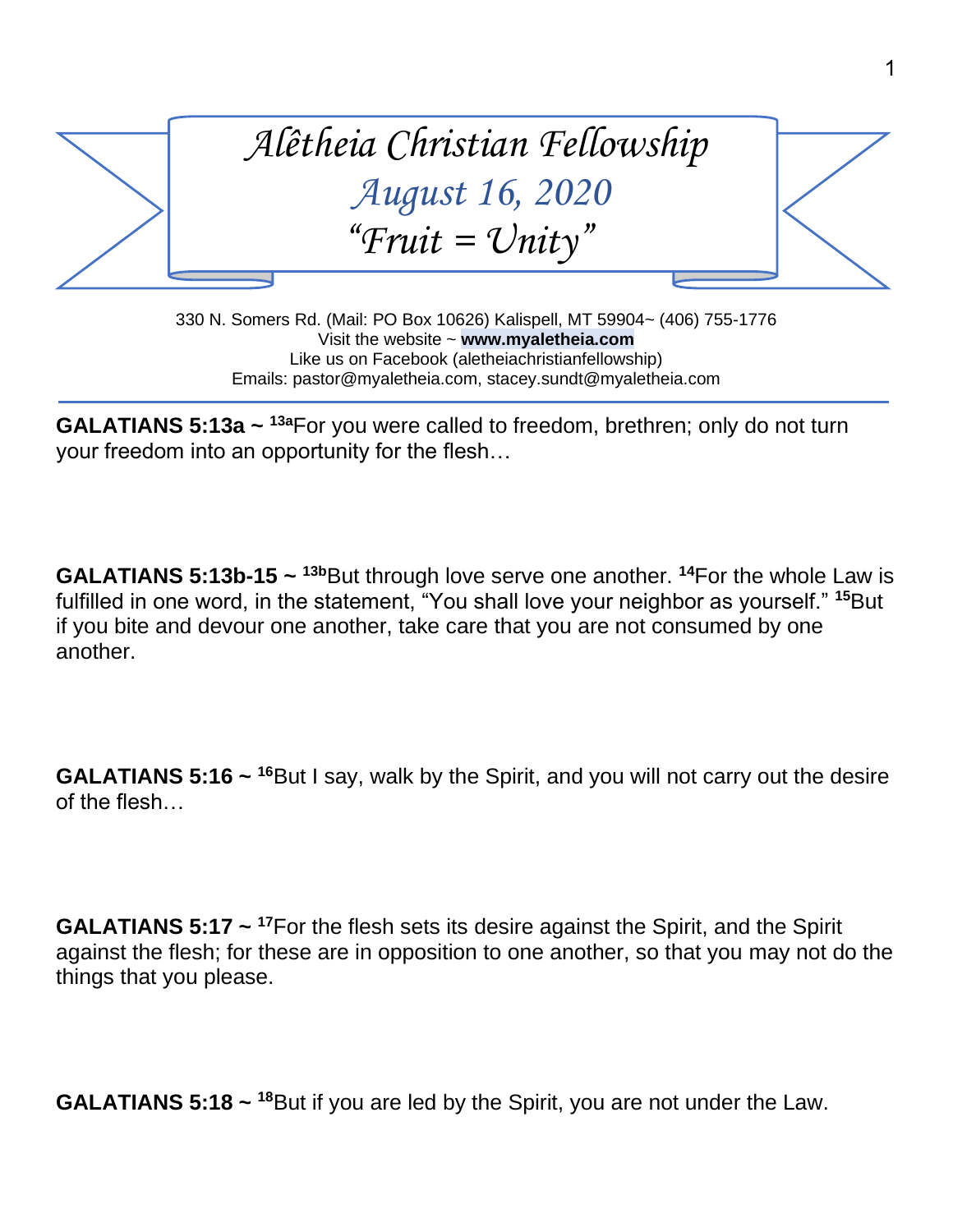

330 N. Somers Rd. (Mail: PO Box 10626) Kalispell, MT 59904~ (406) 755-1776 Visit the website ~ **www.myaletheia.com** Like us on Facebook (aletheiachristianfellowship) Emails: pastor@myaletheia.com, stacey.sundt@myaletheia.com

**GALATIANS 5:13a ~ <sup>13a</sup>For you were called to freedom, brethren; only do not turn** your freedom into an opportunity for the flesh…

**GALATIANS 5:13b-15**  $\sim$  <sup>13b</sup>But through love serve one another. <sup>14</sup>For the whole Law is fulfilled in one word, in the statement, "You shall love your neighbor as yourself." **<sup>15</sup>**But if you bite and devour one another, take care that you are not consumed by one another.

**GALATIANS 5:16** ~ <sup>16</sup>But I say, walk by the Spirit, and you will not carry out the desire of the flesh…

**GALATIANS 5:17 ~ <sup>17</sup>**For the flesh sets its desire against the Spirit, and the Spirit against the flesh; for these are in opposition to one another, so that you may not do the things that you please.

**GALATIANS 5:18** ~ <sup>18</sup>But if you are led by the Spirit, you are not under the Law.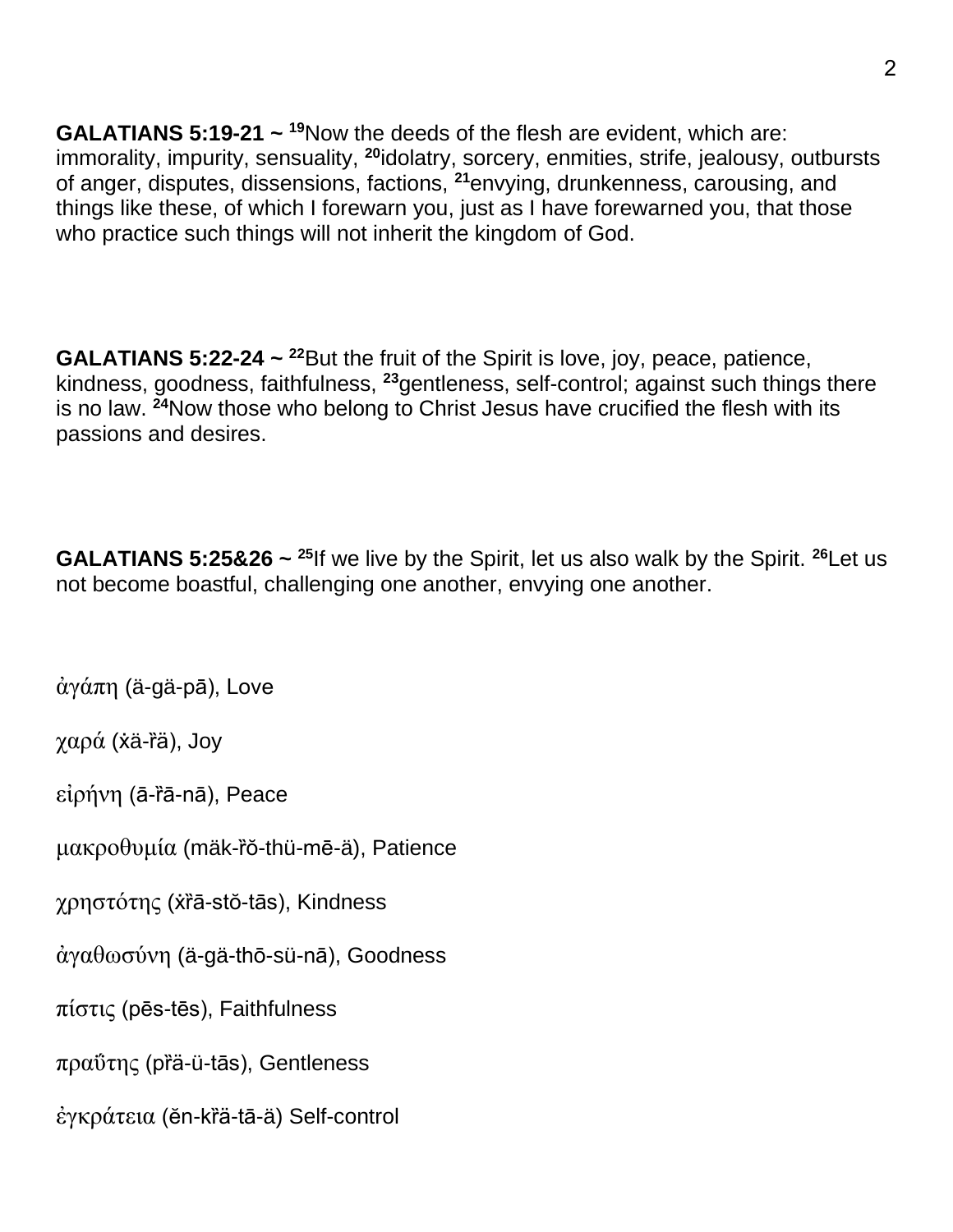**GALATIANS 5:19-21** ~ <sup>19</sup>Now the deeds of the flesh are evident, which are: immorality, impurity, sensuality, **<sup>20</sup>**idolatry, sorcery, enmities, strife, jealousy, outbursts of anger, disputes, dissensions, factions, **<sup>21</sup>**envying, drunkenness, carousing, and things like these, of which I forewarn you, just as I have forewarned you, that those who practice such things will not inherit the kingdom of God.

**GALATIANS 5:22-24**  $\sim$  <sup>22</sup>But the fruit of the Spirit is love, joy, peace, patience, kindness, goodness, faithfulness, **<sup>23</sup>**gentleness, self-control; against such things there is no law. **<sup>24</sup>**Now those who belong to Christ Jesus have crucified the flesh with its passions and desires.

**GALATIANS 5:25&26 ~ <sup>25</sup>**If we live by the Spirit, let us also walk by the Spirit. **<sup>26</sup>**Let us not become boastful, challenging one another, envying one another.

ἀγάπη (ä-gä-pā), Love

χαρά ( $\dot{x}$ ä-rä), Joy

εἰρήνη (ā-ȑā-nā), Peace

μακροθυμία (mäk-ro-thü-mē-ä), Patience

χρηστότης (ẋȑā-stŏ-tās), Kindness

ἀγαθωσύνη (ä-gä-thō-sü-nā), Goodness

πίστις (pēs-tēs), Faithfulness

πραΰτης (pȑä-ü-tās), Gentleness

έγκράτεια (ĕn-krä-tā-ä) Self-control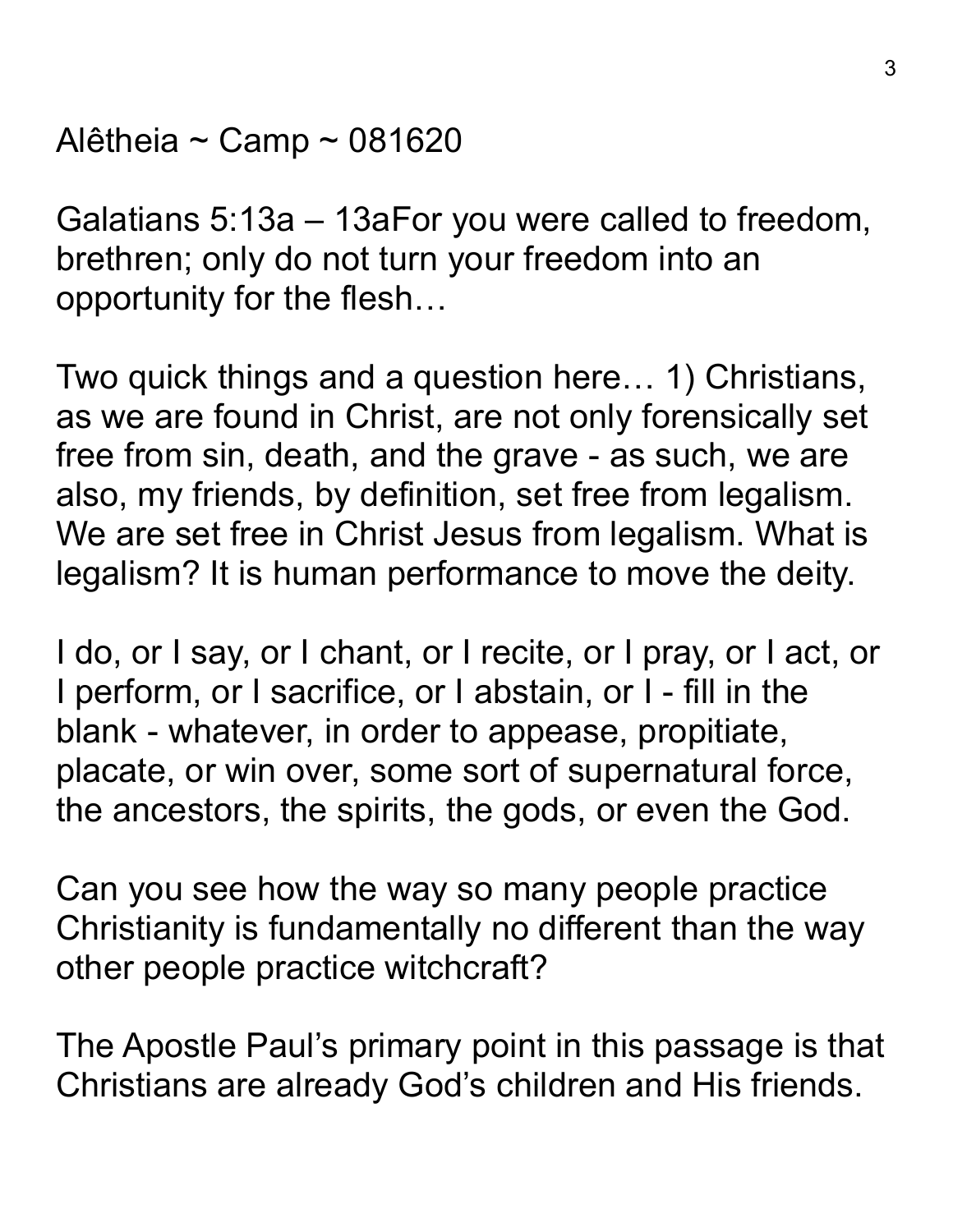Alêtheia ~ Camp ~ 081620

Galatians 5:13a – 13aFor you were called to freedom, brethren; only do not turn your freedom into an opportunity for the flesh…

Two quick things and a question here… 1) Christians, as we are found in Christ, are not only forensically set free from sin, death, and the grave - as such, we are also, my friends, by definition, set free from legalism. We are set free in Christ Jesus from legalism. What is legalism? It is human performance to move the deity.

I do, or I say, or I chant, or I recite, or I pray, or I act, or I perform, or I sacrifice, or I abstain, or I - fill in the blank - whatever, in order to appease, propitiate, placate, or win over, some sort of supernatural force, the ancestors, the spirits, the gods, or even the God.

Can you see how the way so many people practice Christianity is fundamentally no different than the way other people practice witchcraft?

The Apostle Paul's primary point in this passage is that Christians are already God's children and His friends.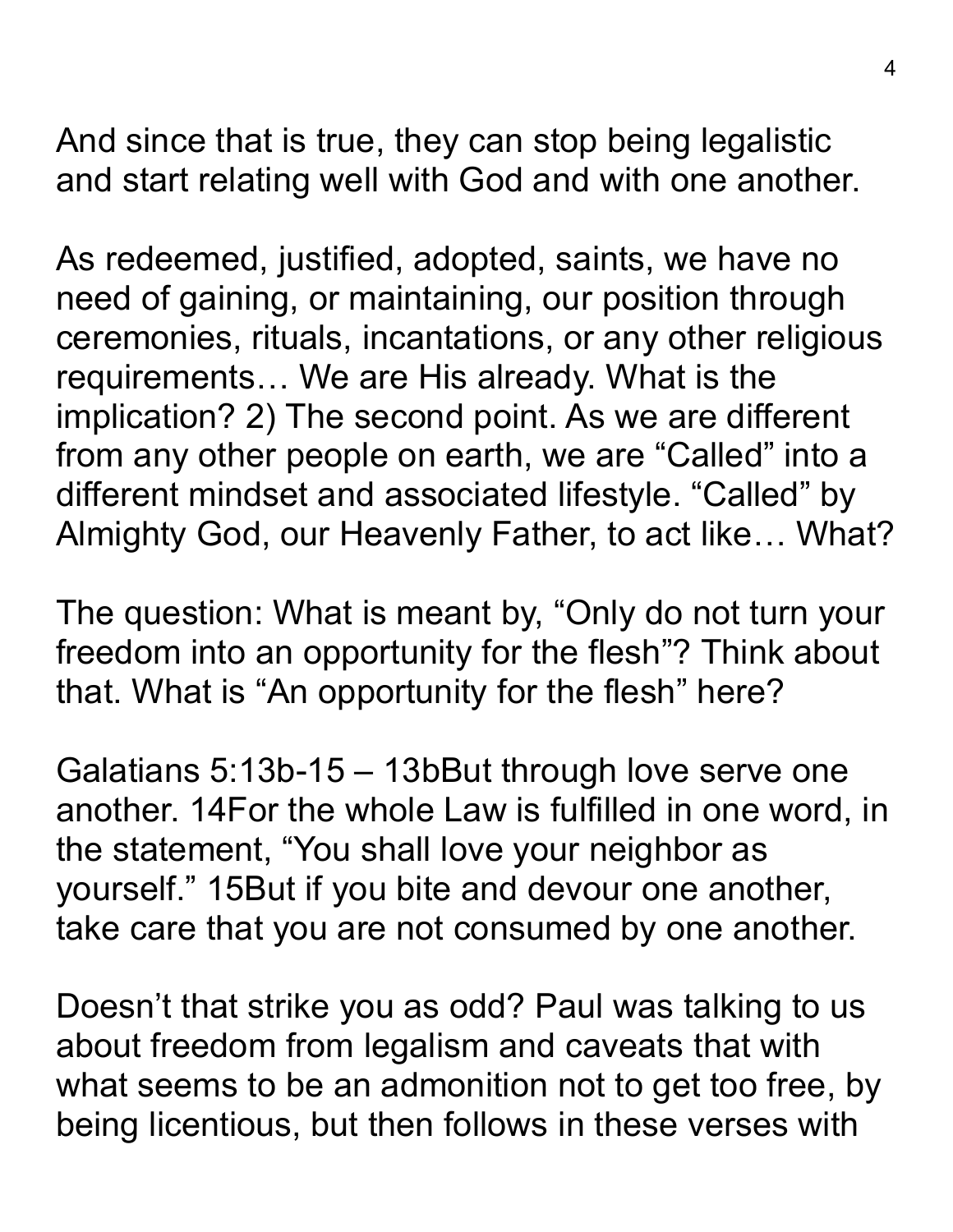And since that is true, they can stop being legalistic and start relating well with God and with one another.

As redeemed, justified, adopted, saints, we have no need of gaining, or maintaining, our position through ceremonies, rituals, incantations, or any other religious requirements… We are His already. What is the implication? 2) The second point. As we are different from any other people on earth, we are "Called" into a different mindset and associated lifestyle. "Called" by Almighty God, our Heavenly Father, to act like… What?

The question: What is meant by, "Only do not turn your freedom into an opportunity for the flesh"? Think about that. What is "An opportunity for the flesh" here?

Galatians 5:13b-15 – 13bBut through love serve one another. 14For the whole Law is fulfilled in one word, in the statement, "You shall love your neighbor as yourself." 15But if you bite and devour one another, take care that you are not consumed by one another.

Doesn't that strike you as odd? Paul was talking to us about freedom from legalism and caveats that with what seems to be an admonition not to get too free, by being licentious, but then follows in these verses with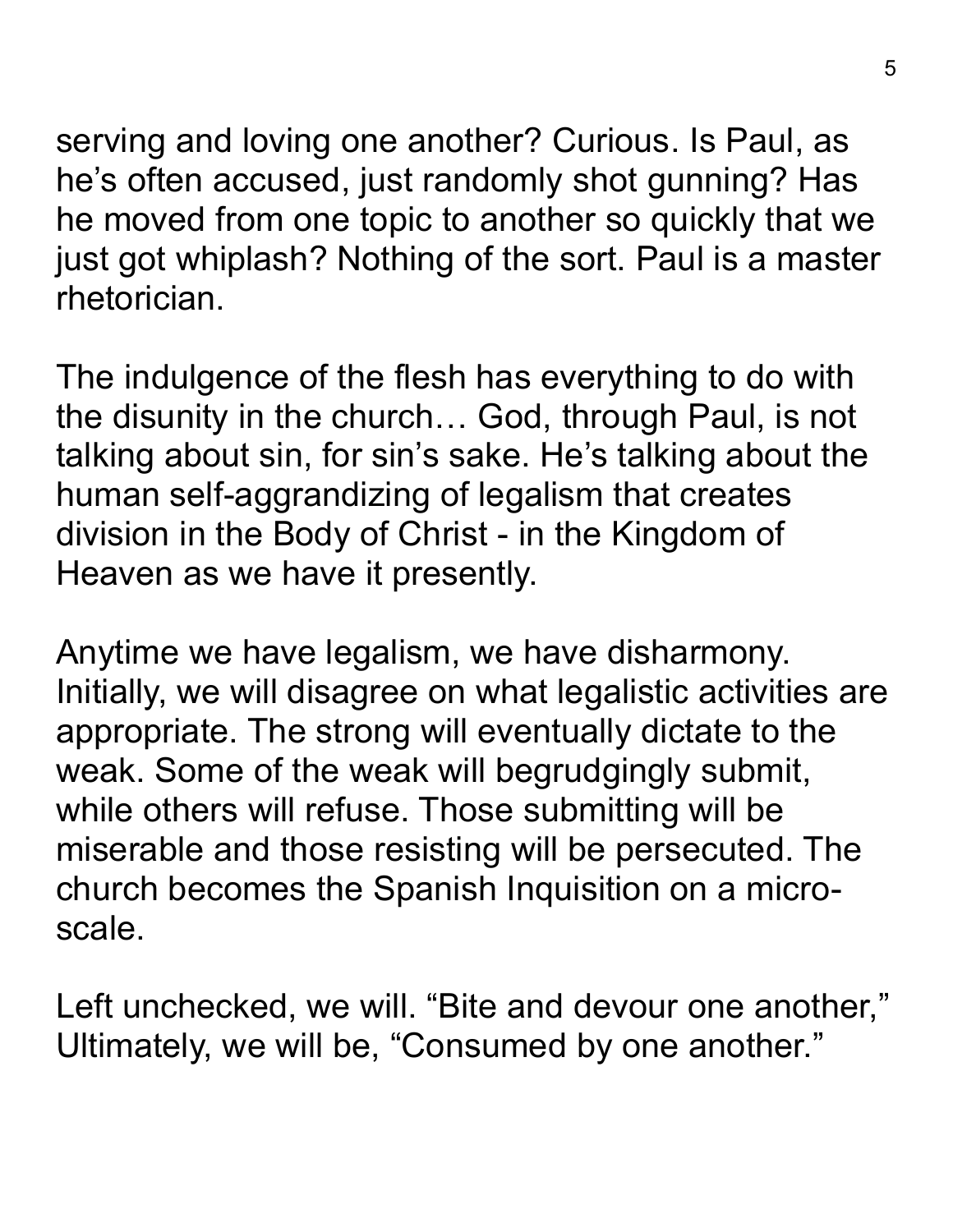serving and loving one another? Curious. Is Paul, as he's often accused, just randomly shot gunning? Has he moved from one topic to another so quickly that we just got whiplash? Nothing of the sort. Paul is a master rhetorician.

The indulgence of the flesh has everything to do with the disunity in the church… God, through Paul, is not talking about sin, for sin's sake. He's talking about the human self-aggrandizing of legalism that creates division in the Body of Christ - in the Kingdom of Heaven as we have it presently.

Anytime we have legalism, we have disharmony. Initially, we will disagree on what legalistic activities are appropriate. The strong will eventually dictate to the weak. Some of the weak will begrudgingly submit, while others will refuse. Those submitting will be miserable and those resisting will be persecuted. The church becomes the Spanish Inquisition on a microscale.

Left unchecked, we will. "Bite and devour one another," Ultimately, we will be, "Consumed by one another."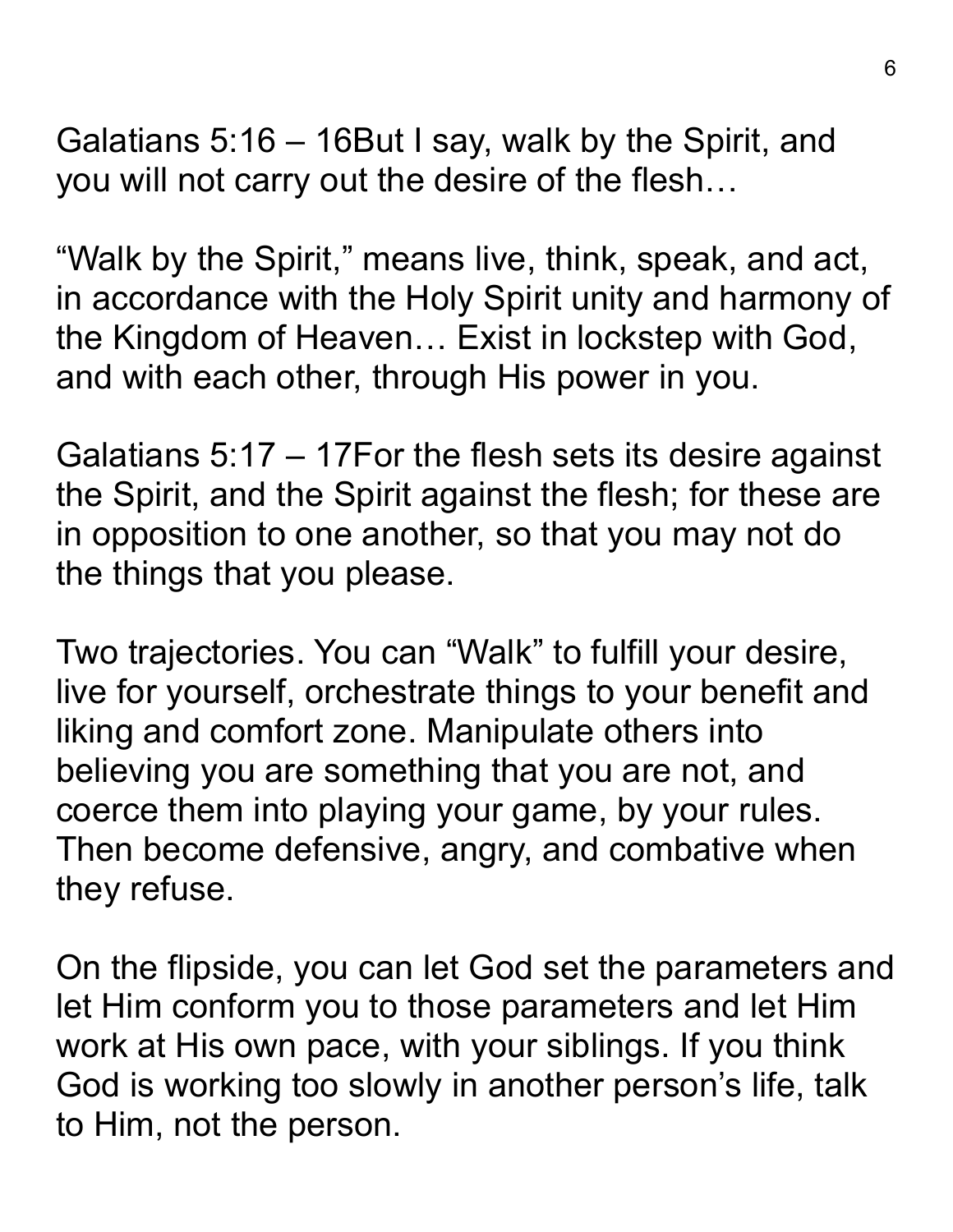Galatians 5:16 – 16But I say, walk by the Spirit, and you will not carry out the desire of the flesh…

"Walk by the Spirit," means live, think, speak, and act, in accordance with the Holy Spirit unity and harmony of the Kingdom of Heaven… Exist in lockstep with God, and with each other, through His power in you.

Galatians 5:17 – 17For the flesh sets its desire against the Spirit, and the Spirit against the flesh; for these are in opposition to one another, so that you may not do the things that you please.

Two trajectories. You can "Walk" to fulfill your desire, live for yourself, orchestrate things to your benefit and liking and comfort zone. Manipulate others into believing you are something that you are not, and coerce them into playing your game, by your rules. Then become defensive, angry, and combative when they refuse.

On the flipside, you can let God set the parameters and let Him conform you to those parameters and let Him work at His own pace, with your siblings. If you think God is working too slowly in another person's life, talk to Him, not the person.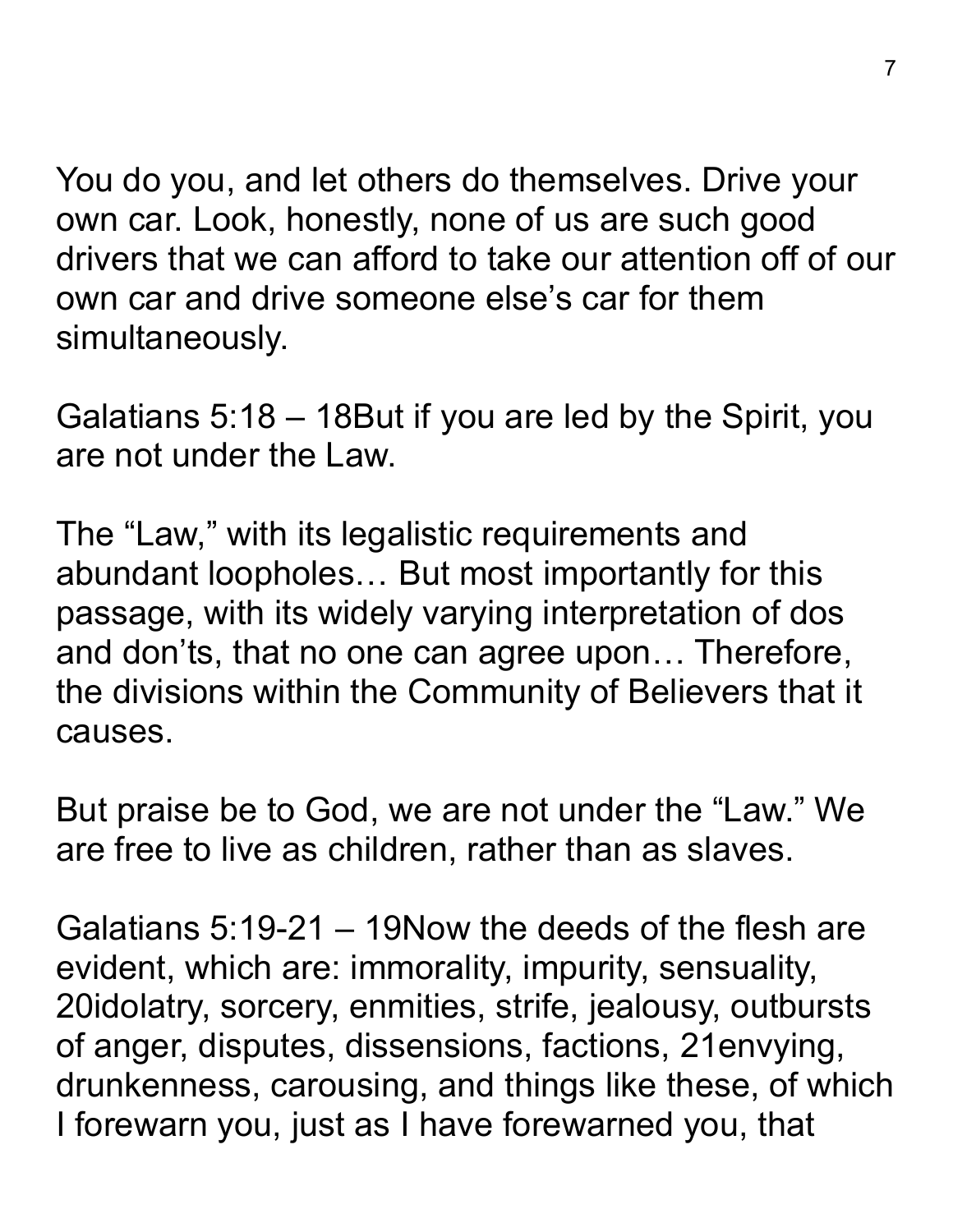You do you, and let others do themselves. Drive your own car. Look, honestly, none of us are such good drivers that we can afford to take our attention off of our own car and drive someone else's car for them simultaneously.

Galatians 5:18 – 18But if you are led by the Spirit, you are not under the Law.

The "Law," with its legalistic requirements and abundant loopholes… But most importantly for this passage, with its widely varying interpretation of dos and don'ts, that no one can agree upon… Therefore, the divisions within the Community of Believers that it causes.

But praise be to God, we are not under the "Law." We are free to live as children, rather than as slaves.

Galatians 5:19-21 – 19Now the deeds of the flesh are evident, which are: immorality, impurity, sensuality, 20idolatry, sorcery, enmities, strife, jealousy, outbursts of anger, disputes, dissensions, factions, 21envying, drunkenness, carousing, and things like these, of which I forewarn you, just as I have forewarned you, that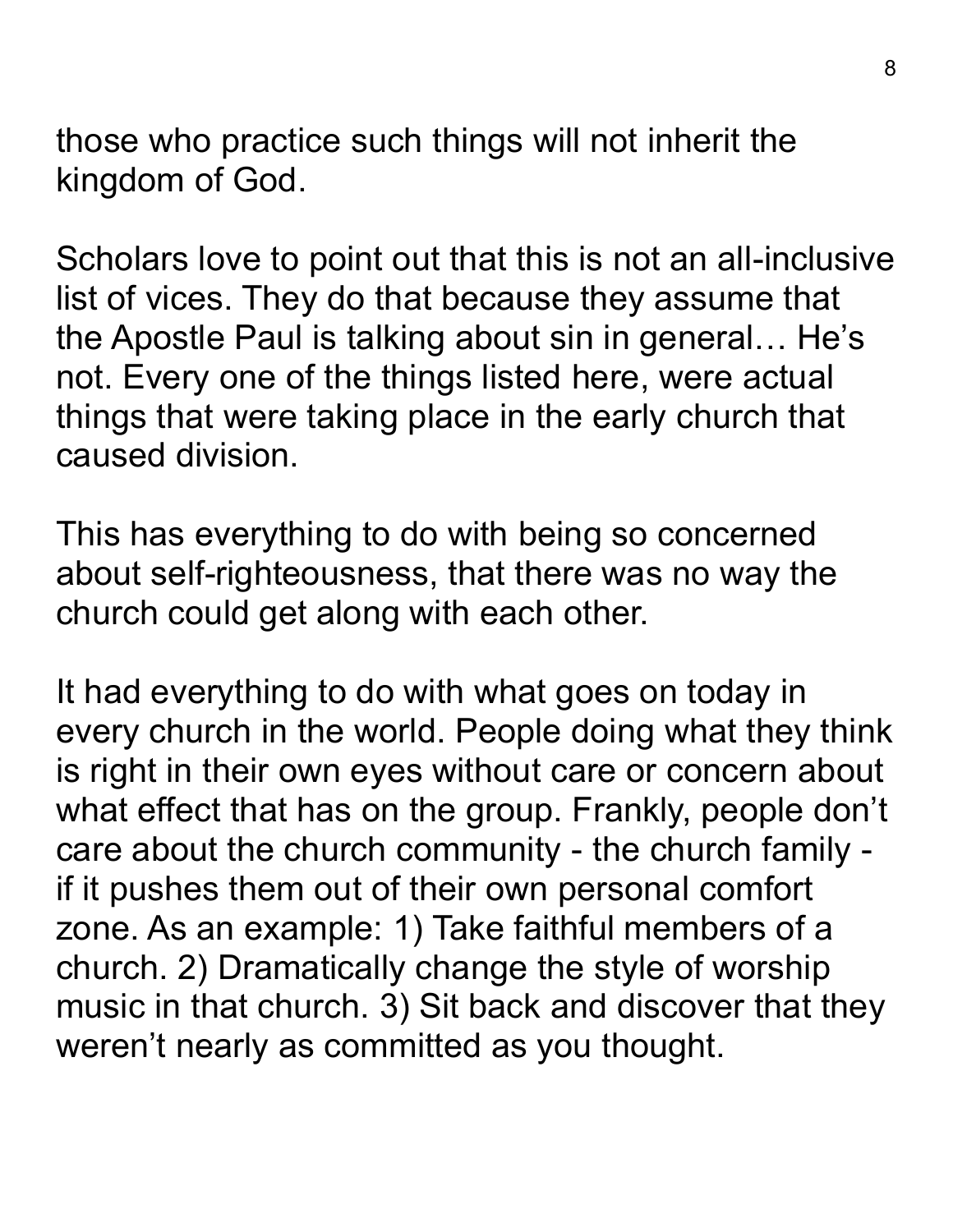those who practice such things will not inherit the kingdom of God.

Scholars love to point out that this is not an all-inclusive list of vices. They do that because they assume that the Apostle Paul is talking about sin in general… He's not. Every one of the things listed here, were actual things that were taking place in the early church that caused division.

This has everything to do with being so concerned about self-righteousness, that there was no way the church could get along with each other.

It had everything to do with what goes on today in every church in the world. People doing what they think is right in their own eyes without care or concern about what effect that has on the group. Frankly, people don't care about the church community - the church family if it pushes them out of their own personal comfort zone. As an example: 1) Take faithful members of a church. 2) Dramatically change the style of worship music in that church. 3) Sit back and discover that they weren't nearly as committed as you thought.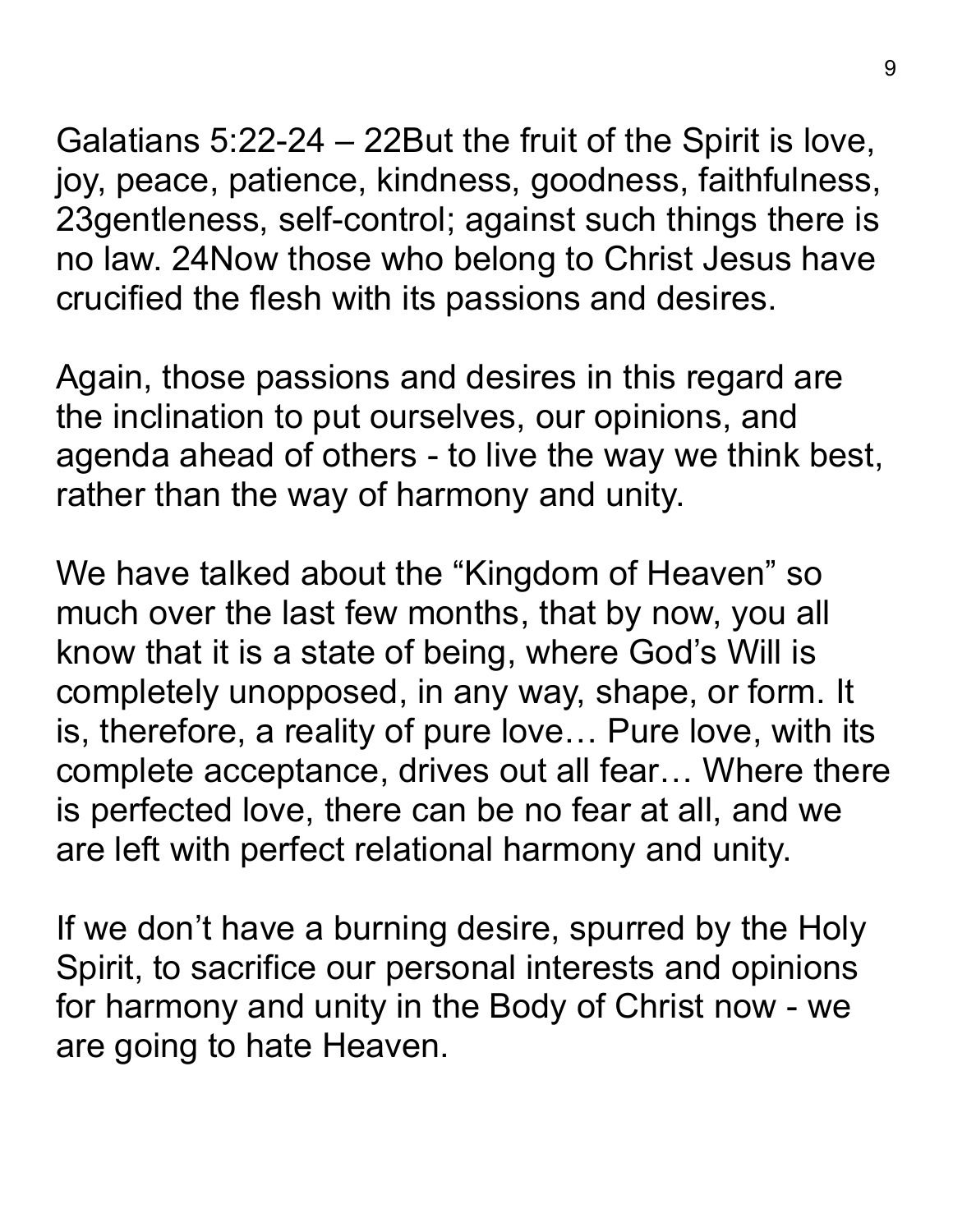Galatians 5:22-24 – 22But the fruit of the Spirit is love, joy, peace, patience, kindness, goodness, faithfulness, 23gentleness, self-control; against such things there is no law. 24Now those who belong to Christ Jesus have crucified the flesh with its passions and desires.

Again, those passions and desires in this regard are the inclination to put ourselves, our opinions, and agenda ahead of others - to live the way we think best, rather than the way of harmony and unity.

We have talked about the "Kingdom of Heaven" so much over the last few months, that by now, you all know that it is a state of being, where God's Will is completely unopposed, in any way, shape, or form. It is, therefore, a reality of pure love… Pure love, with its complete acceptance, drives out all fear… Where there is perfected love, there can be no fear at all, and we are left with perfect relational harmony and unity.

If we don't have a burning desire, spurred by the Holy Spirit, to sacrifice our personal interests and opinions for harmony and unity in the Body of Christ now - we are going to hate Heaven.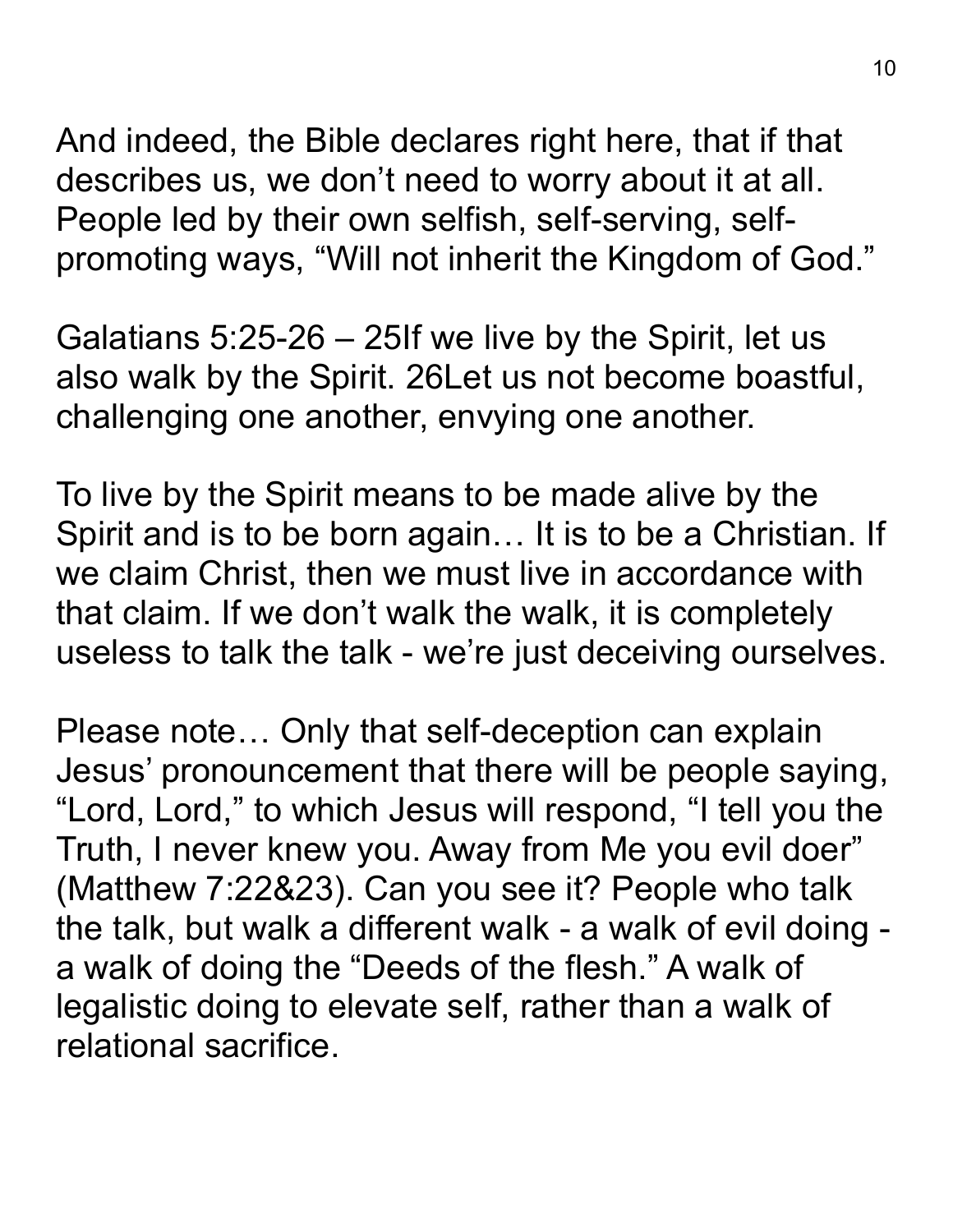And indeed, the Bible declares right here, that if that describes us, we don't need to worry about it at all. People led by their own selfish, self-serving, selfpromoting ways, "Will not inherit the Kingdom of God."

Galatians 5:25-26 – 25If we live by the Spirit, let us also walk by the Spirit. 26Let us not become boastful, challenging one another, envying one another.

To live by the Spirit means to be made alive by the Spirit and is to be born again… It is to be a Christian. If we claim Christ, then we must live in accordance with that claim. If we don't walk the walk, it is completely useless to talk the talk - we're just deceiving ourselves.

Please note… Only that self-deception can explain Jesus' pronouncement that there will be people saying, "Lord, Lord," to which Jesus will respond, "I tell you the Truth, I never knew you. Away from Me you evil doer" (Matthew 7:22&23). Can you see it? People who talk the talk, but walk a different walk - a walk of evil doing a walk of doing the "Deeds of the flesh." A walk of legalistic doing to elevate self, rather than a walk of relational sacrifice.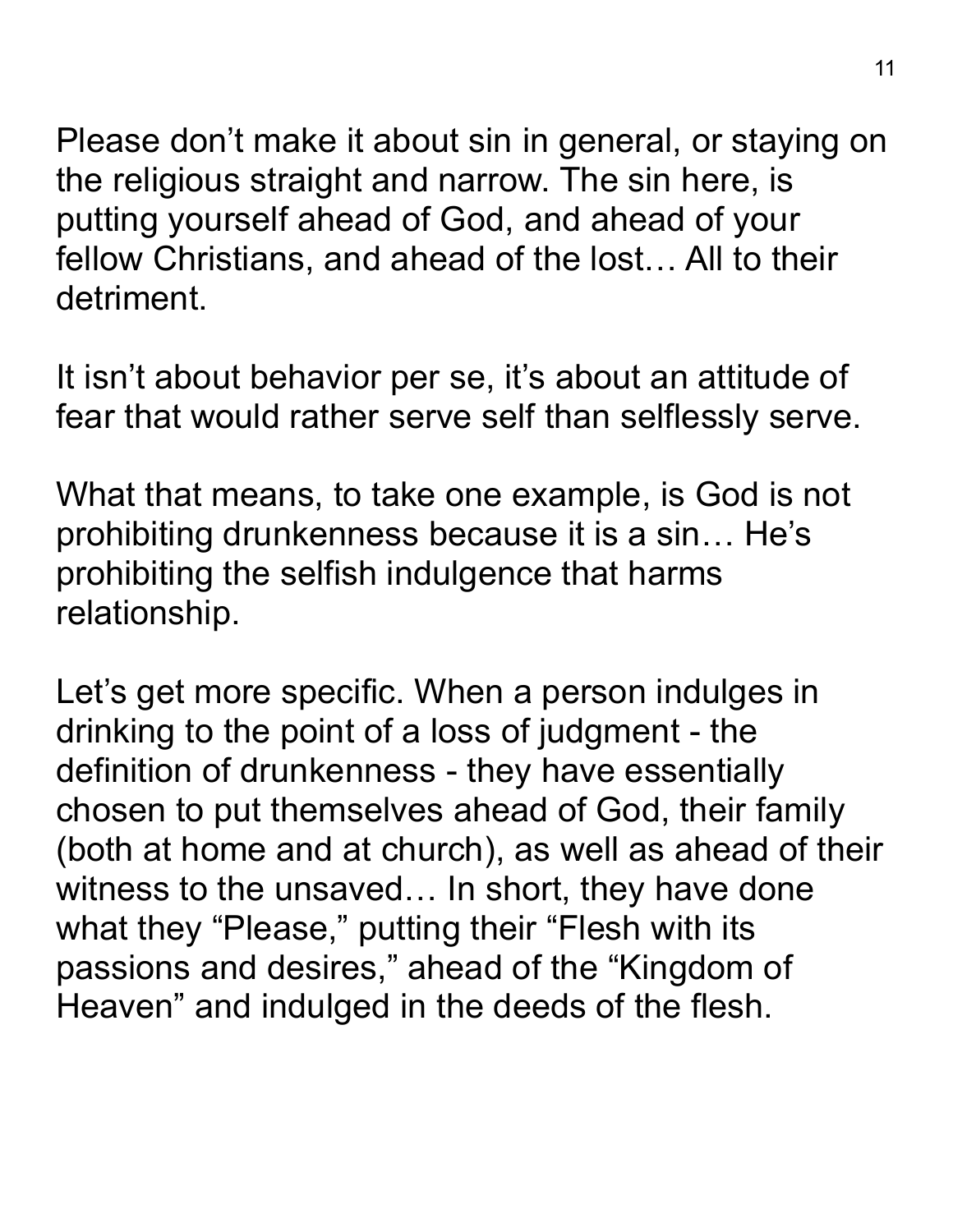Please don't make it about sin in general, or staying on the religious straight and narrow. The sin here, is putting yourself ahead of God, and ahead of your fellow Christians, and ahead of the lost… All to their detriment.

It isn't about behavior per se, it's about an attitude of fear that would rather serve self than selflessly serve.

What that means, to take one example, is God is not prohibiting drunkenness because it is a sin… He's prohibiting the selfish indulgence that harms relationship.

Let's get more specific. When a person indulges in drinking to the point of a loss of judgment - the definition of drunkenness - they have essentially chosen to put themselves ahead of God, their family (both at home and at church), as well as ahead of their witness to the unsaved… In short, they have done what they "Please," putting their "Flesh with its passions and desires," ahead of the "Kingdom of Heaven" and indulged in the deeds of the flesh.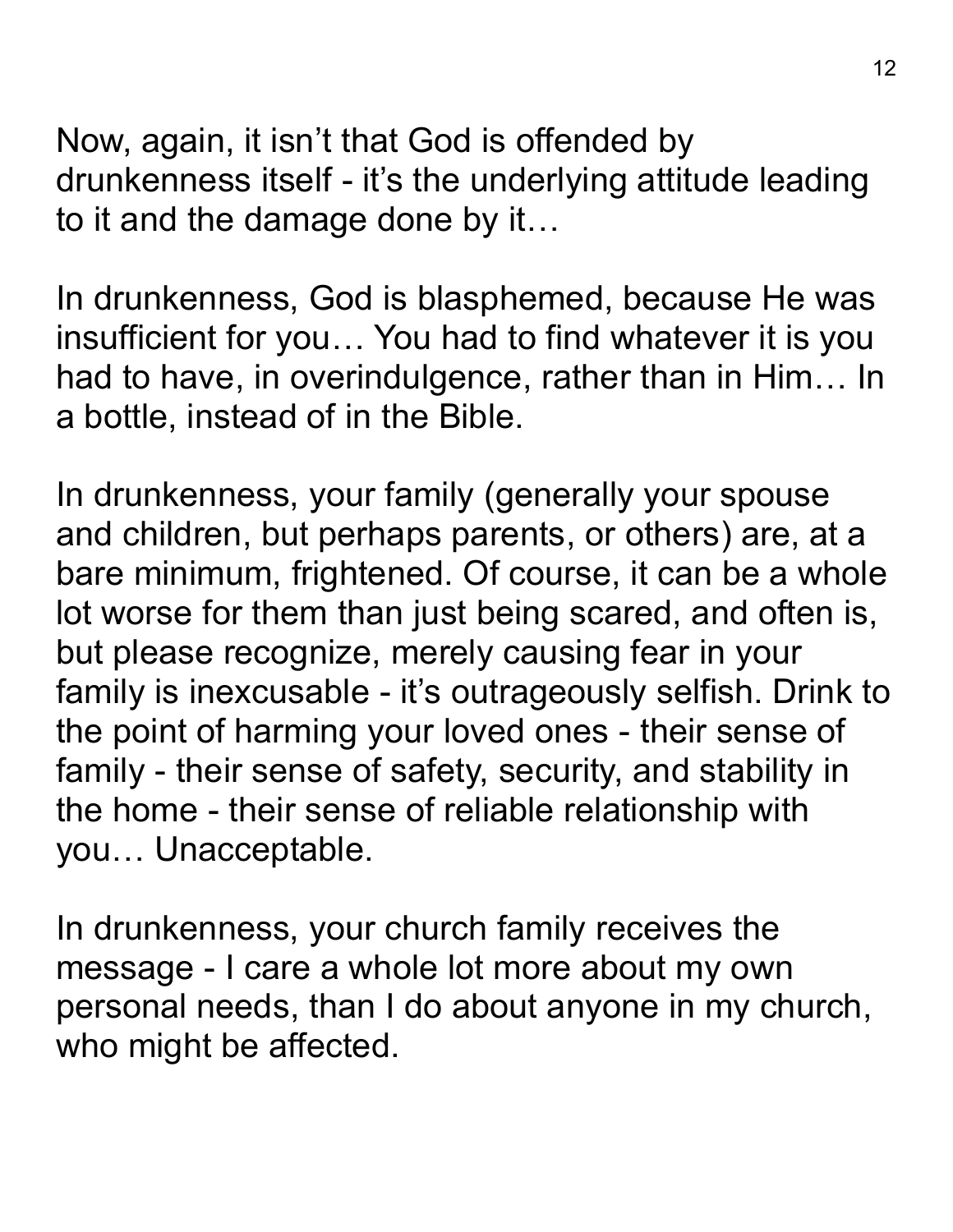Now, again, it isn't that God is offended by drunkenness itself - it's the underlying attitude leading to it and the damage done by it…

In drunkenness, God is blasphemed, because He was insufficient for you… You had to find whatever it is you had to have, in overindulgence, rather than in Him… In a bottle, instead of in the Bible.

In drunkenness, your family (generally your spouse and children, but perhaps parents, or others) are, at a bare minimum, frightened. Of course, it can be a whole lot worse for them than just being scared, and often is, but please recognize, merely causing fear in your family is inexcusable - it's outrageously selfish. Drink to the point of harming your loved ones - their sense of family - their sense of safety, security, and stability in the home - their sense of reliable relationship with you… Unacceptable.

In drunkenness, your church family receives the message - I care a whole lot more about my own personal needs, than I do about anyone in my church, who might be affected.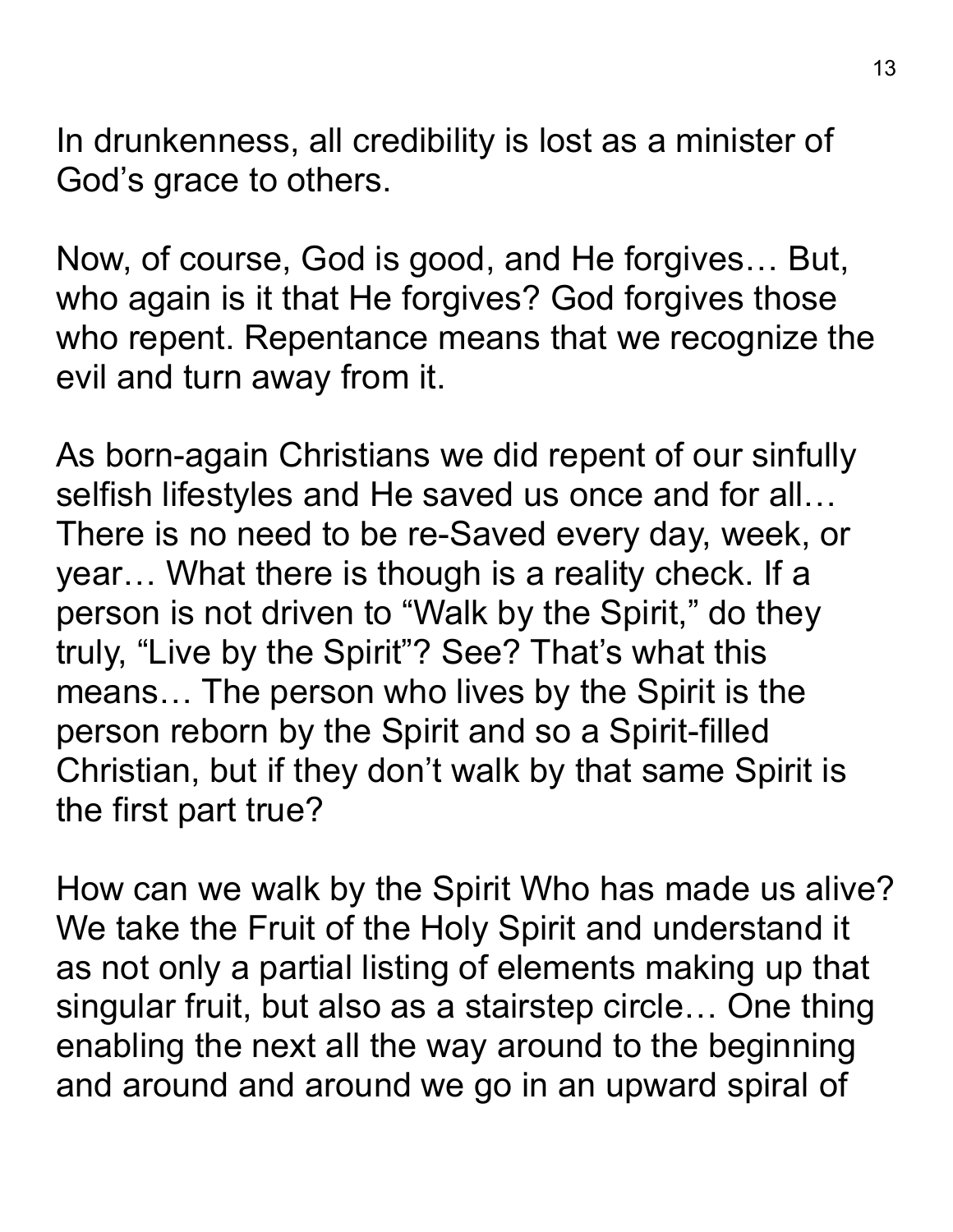In drunkenness, all credibility is lost as a minister of God's grace to others.

Now, of course, God is good, and He forgives… But, who again is it that He forgives? God forgives those who repent. Repentance means that we recognize the evil and turn away from it.

As born-again Christians we did repent of our sinfully selfish lifestyles and He saved us once and for all… There is no need to be re-Saved every day, week, or year… What there is though is a reality check. If a person is not driven to "Walk by the Spirit," do they truly, "Live by the Spirit"? See? That's what this means… The person who lives by the Spirit is the person reborn by the Spirit and so a Spirit-filled Christian, but if they don't walk by that same Spirit is the first part true?

How can we walk by the Spirit Who has made us alive? We take the Fruit of the Holy Spirit and understand it as not only a partial listing of elements making up that singular fruit, but also as a stairstep circle… One thing enabling the next all the way around to the beginning and around and around we go in an upward spiral of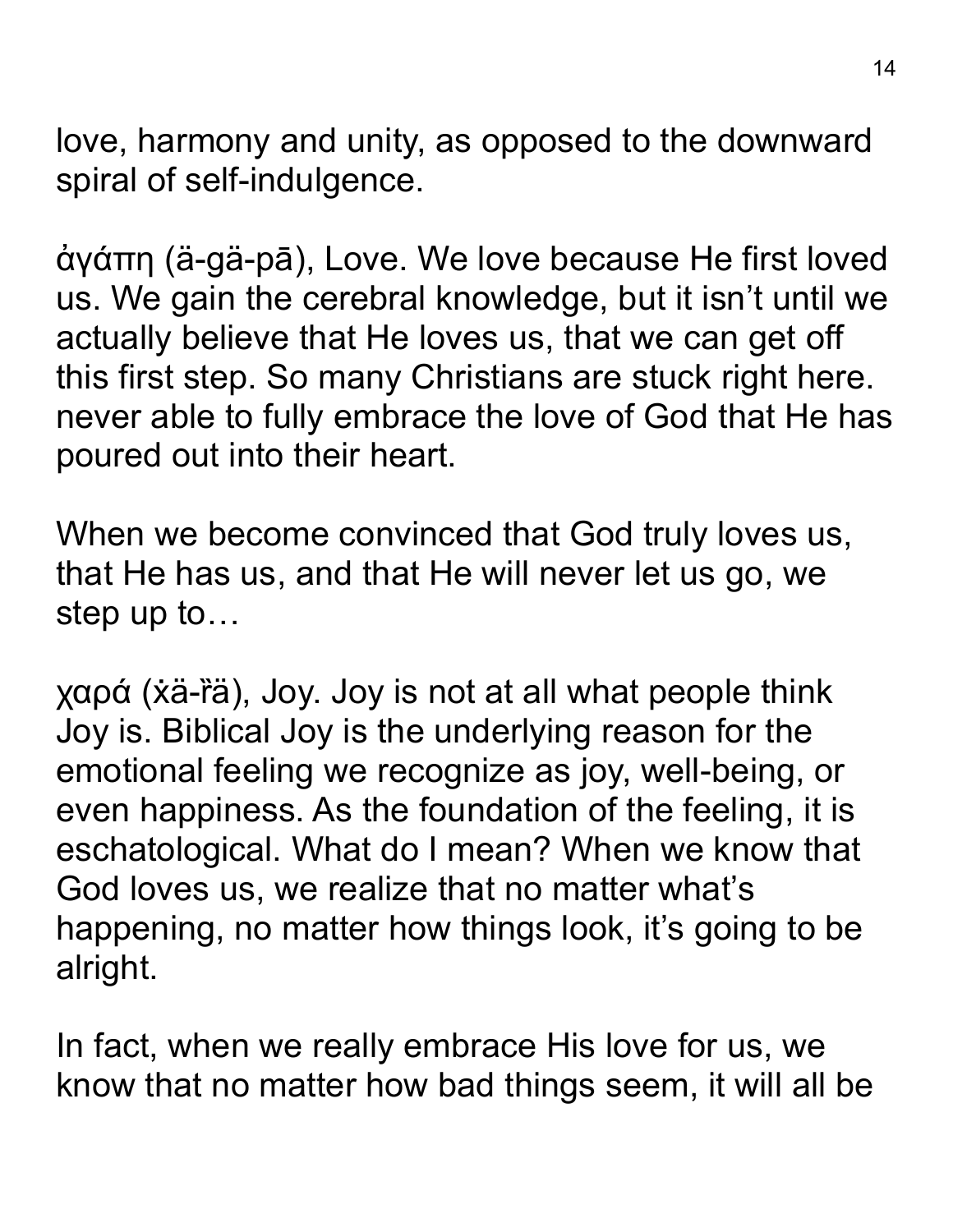love, harmony and unity, as opposed to the downward spiral of self-indulgence.

ἀγάπη (ä-gä-pā), Love. We love because He first loved us. We gain the cerebral knowledge, but it isn't until we actually believe that He loves us, that we can get off this first step. So many Christians are stuck right here. never able to fully embrace the love of God that He has poured out into their heart.

When we become convinced that God truly loves us, that He has us, and that He will never let us go, we step up to…

χαρά (ẋä-ȑä), Joy. Joy is not at all what people think Joy is. Biblical Joy is the underlying reason for the emotional feeling we recognize as joy, well-being, or even happiness. As the foundation of the feeling, it is eschatological. What do I mean? When we know that God loves us, we realize that no matter what's happening, no matter how things look, it's going to be alright.

In fact, when we really embrace His love for us, we know that no matter how bad things seem, it will all be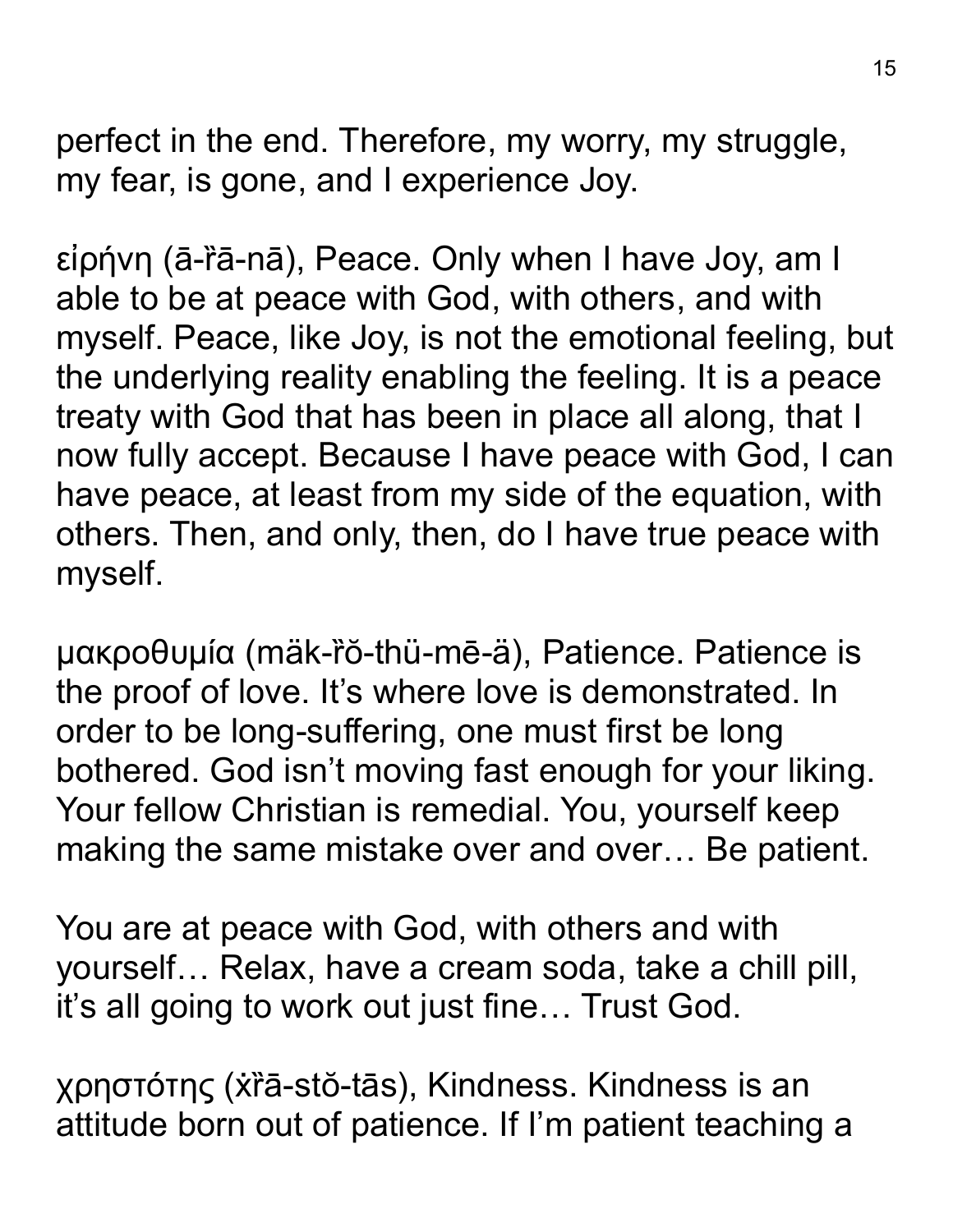perfect in the end. Therefore, my worry, my struggle, my fear, is gone, and I experience Joy.

εἰρήνη (ā-ȑā-nā), Peace. Only when I have Joy, am I able to be at peace with God, with others, and with myself. Peace, like Joy, is not the emotional feeling, but the underlying reality enabling the feeling. It is a peace treaty with God that has been in place all along, that I now fully accept. Because I have peace with God, I can have peace, at least from my side of the equation, with others. Then, and only, then, do I have true peace with myself.

μακροθυμία (mäk-rŏ-thü-mē-ä), Patience. Patience is the proof of love. It's where love is demonstrated. In order to be long-suffering, one must first be long bothered. God isn't moving fast enough for your liking. Your fellow Christian is remedial. You, yourself keep making the same mistake over and over… Be patient.

You are at peace with God, with others and with yourself… Relax, have a cream soda, take a chill pill, it's all going to work out just fine… Trust God.

χρηστότης (ẋȑā-stŏ-tās), Kindness. Kindness is an attitude born out of patience. If I'm patient teaching a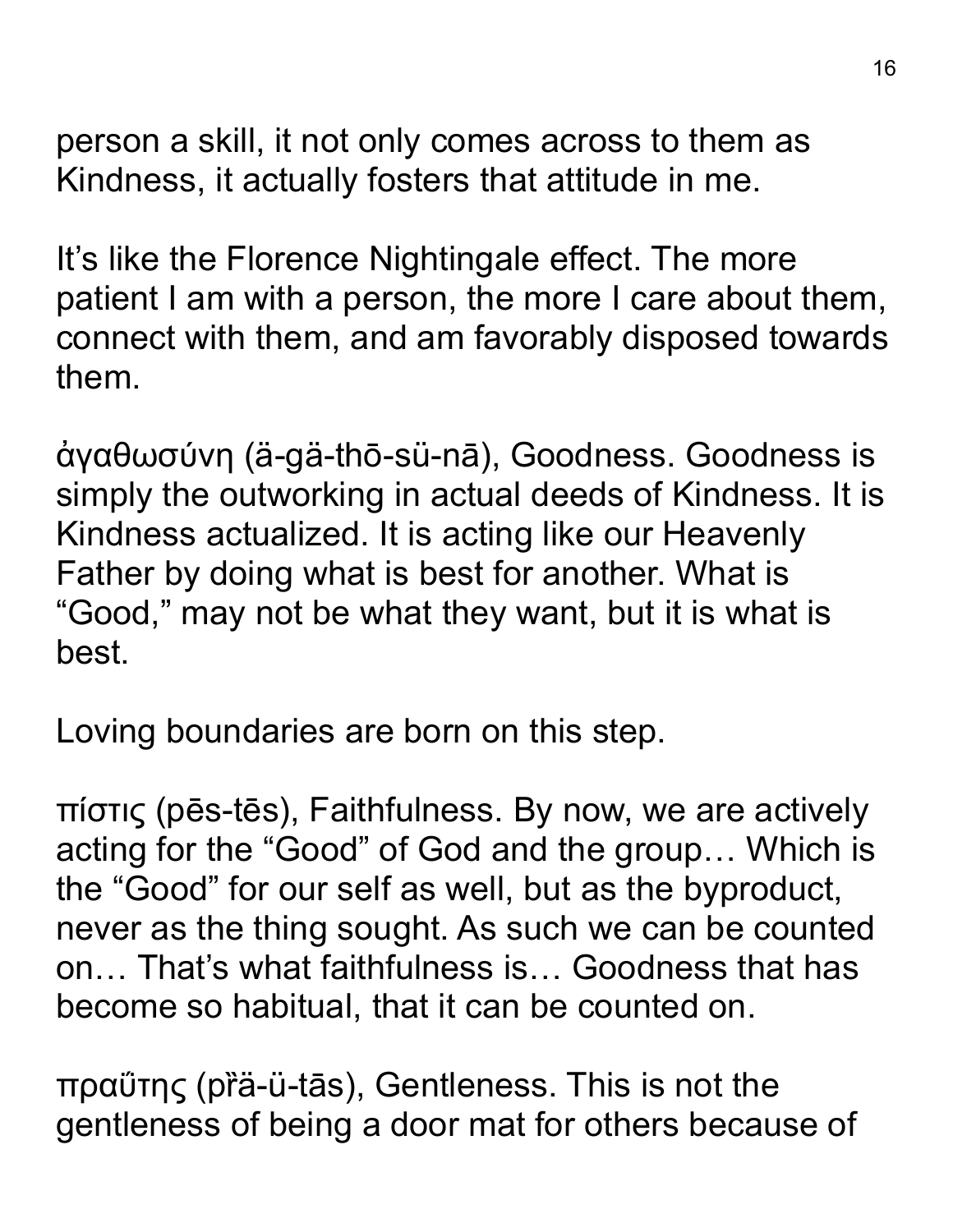person a skill, it not only comes across to them as Kindness, it actually fosters that attitude in me.

It's like the Florence Nightingale effect. The more patient I am with a person, the more I care about them, connect with them, and am favorably disposed towards them.

ἀγαθωσύνη (ä-gä-thō-sü-nā), Goodness. Goodness is simply the outworking in actual deeds of Kindness. It is Kindness actualized. It is acting like our Heavenly Father by doing what is best for another. What is "Good," may not be what they want, but it is what is best.

Loving boundaries are born on this step.

πίστις (pēs-tēs), Faithfulness. By now, we are actively acting for the "Good" of God and the group… Which is the "Good" for our self as well, but as the byproduct, never as the thing sought. As such we can be counted on… That's what faithfulness is… Goodness that has become so habitual, that it can be counted on.

πραΰτης (pȑä-ü-tās), Gentleness. This is not the gentleness of being a door mat for others because of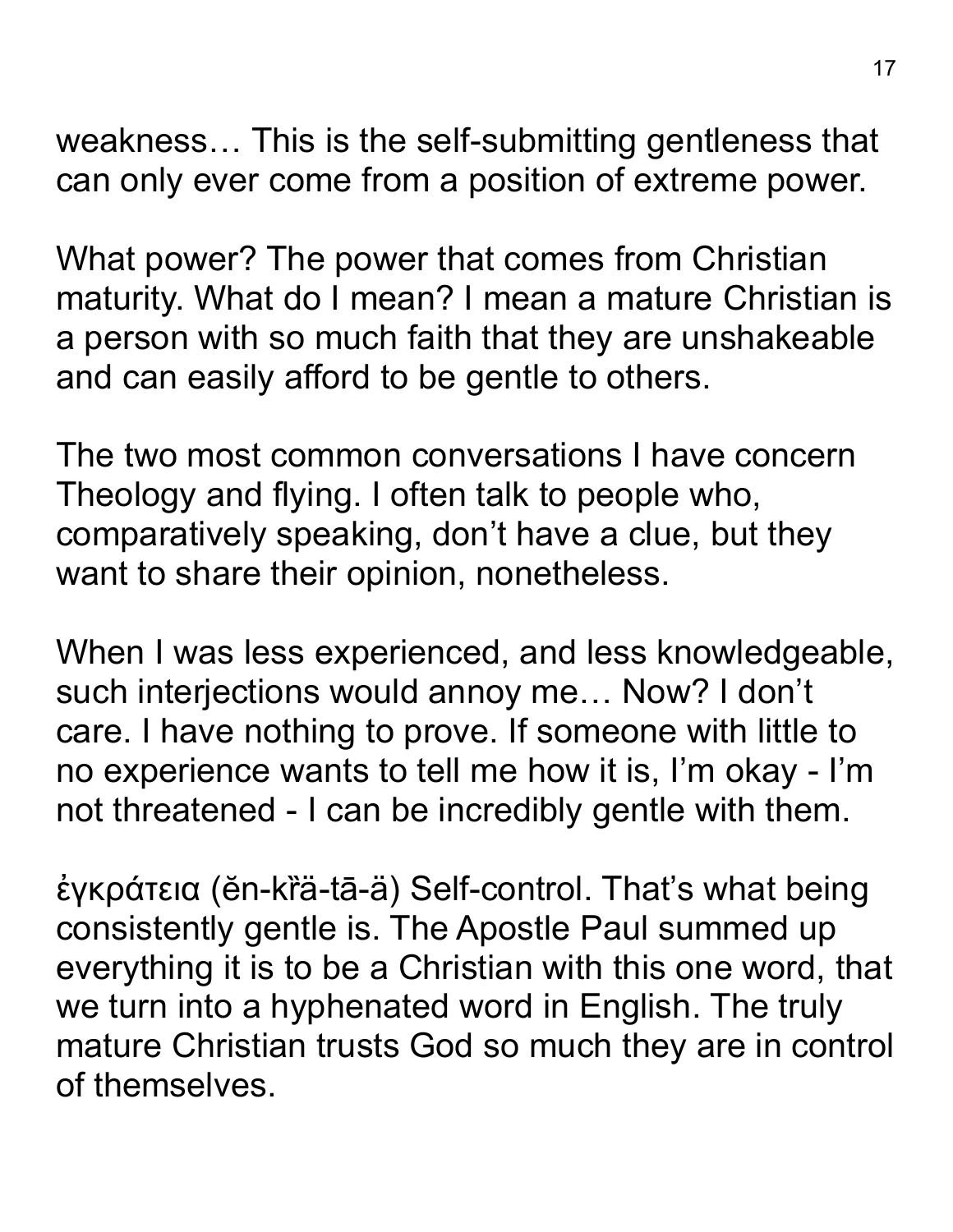weakness… This is the self-submitting gentleness that can only ever come from a position of extreme power.

What power? The power that comes from Christian maturity. What do I mean? I mean a mature Christian is a person with so much faith that they are unshakeable and can easily afford to be gentle to others.

The two most common conversations I have concern Theology and flying. I often talk to people who, comparatively speaking, don't have a clue, but they want to share their opinion, nonetheless.

When I was less experienced, and less knowledgeable, such interjections would annoy me… Now? I don't care. I have nothing to prove. If someone with little to no experience wants to tell me how it is, I'm okay - I'm not threatened - I can be incredibly gentle with them.

έγκράτεια (ĕn-kra-tā-ä) Self-control. That's what being consistently gentle is. The Apostle Paul summed up everything it is to be a Christian with this one word, that we turn into a hyphenated word in English. The truly mature Christian trusts God so much they are in control of themselves.